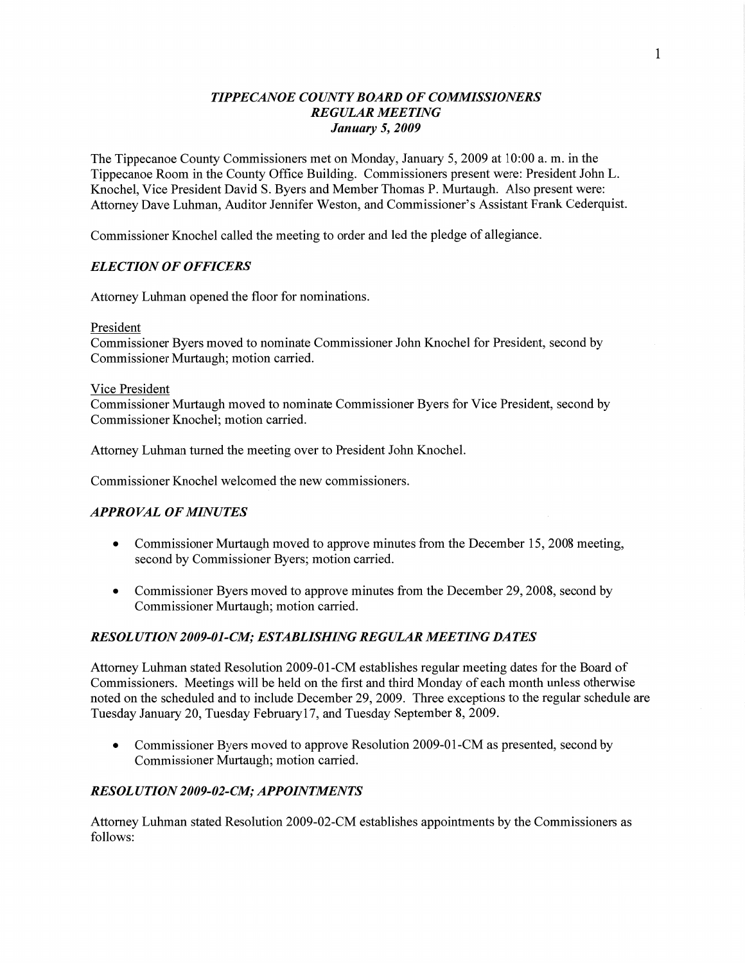# *TIPPECANOE COUNTY BOARD* OF *COMMISSIONERS REGULAR MEETING January* 5, *2009*

The Tippecanoe County Commissioners met on Monday, January 5, 2009 at **10:00** a. m. in the Tippecanoe Room in the County Office Building. Commissioners present were: President John L. Knochel, Vice President **David** S. Byers and Member Thomas P. Murtaugh. Also present were: Attorney Dave Luhman, Auditor Jennifer Weston, and Commissioner's Assistant Frank Cederquist.

Commissioner Knochel called the meeting to order and led the pledge of allegiance.

# *ELECTION* OF *OFFICERS*

Attorney Luhman opened the floor for nominations.

President

Commissioner Byers moved to nominate Commissioner John Knochel for President, second by Commissioner Murtaugh; motion carried.

### **Vice** President

Commissioner Murtaugh moved to nominate Commissioner Byers for Vice President, second by Commissioner Knochel; motion carried.

Attorney Luhman turned the meeting over to President John Knochel.

Commissioner Knochel welcomed the new commissioners.

# *APPROVAL* OF *MINUTES*

- Commissioner Murtaugh moved to approve minutes from the December 15, 2008 meeting, second by Commissioner Byers; motion carried.
- Commissioner Byers moved to approve minutes from the December 29, 2008, second by Commissioner Murtaugh; motion carried.

# *RESOL UTION 2009-01-C1W; ESTABLISHING REGULAR MEETING* DA *T* ES

Attorney Luhman stated Resolution 2009-01-CM establishes regular meeting dates for the Board of Commissioners. Meetings will be held on the first and third Monday of each **month** unless otherwise noted on the scheduled and to include December 29, 2009. Three exceptions to the regular schedule are Tuesday January 20, Tuesday February17, and Tuesday September 8, 2009.

• Commissioner Byers moved to approve Resolution 2009-01-CM as presented, second by Commissioner Murtaugh; motion carried.

# *RESOL U T I* 0N *2009-02-C.M; APPOINTMENTS*

Attorney **Luhman** stated Resolution 2009-02—CM establishes appointments by the Commissioners as follows: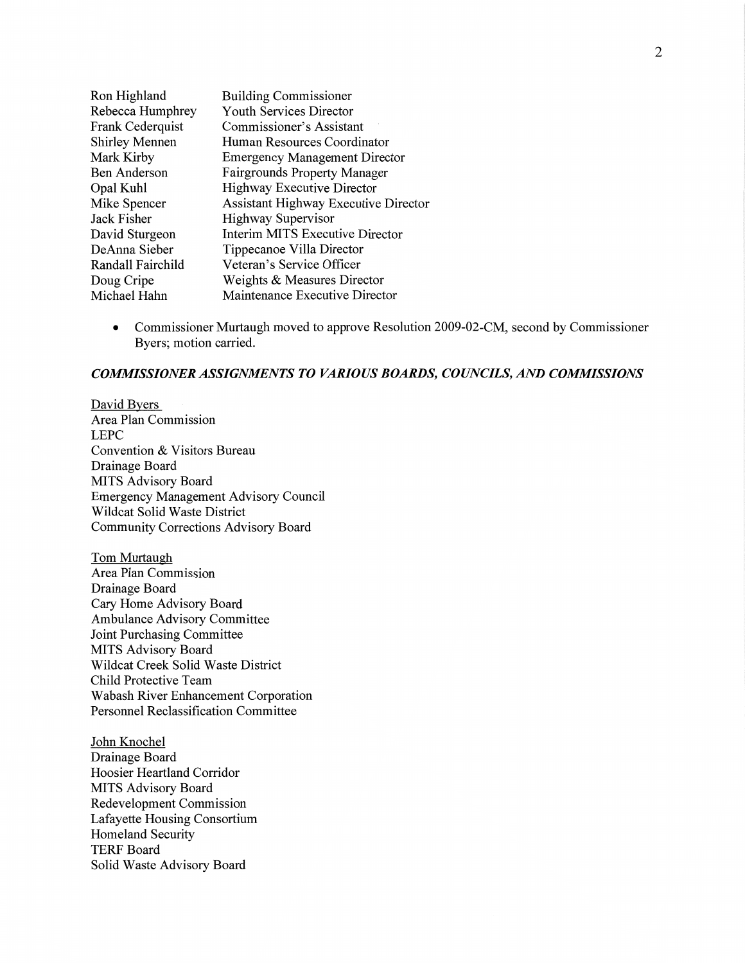| Ron Highland          | <b>Building Commissioner</b>                |
|-----------------------|---------------------------------------------|
| Rebecca Humphrey      | Youth Services Director                     |
| Frank Cederquist      | Commissioner's Assistant                    |
| <b>Shirley Mennen</b> | Human Resources Coordinator                 |
| Mark Kirby            | <b>Emergency Management Director</b>        |
| <b>Ben Anderson</b>   | <b>Fairgrounds Property Manager</b>         |
| Opal Kuhl             | <b>Highway Executive Director</b>           |
| Mike Spencer          | <b>Assistant Highway Executive Director</b> |
| Jack Fisher           | <b>Highway Supervisor</b>                   |
| David Sturgeon        | <b>Interim MITS Executive Director</b>      |
| DeAnna Sieber         | Tippecanoe Villa Director                   |
| Randall Fairchild     | Veteran's Service Officer                   |
| Doug Cripe            | Weights & Measures Director                 |
| Michael Hahn          | Maintenance Executive Director              |
|                       |                                             |

**0** Commissioner Murtaugh moved to approve Resolution 2009-02-CM, second by **Commissioner**  Byers; motion carried.

#### *COMMISSIONER ASSIGMMENTS* T0 *VARIOUS BOARDS, COWCILS,* AND *COMMISSIONS*

David Byers Area Plan Commission LEPC Convention & Visitors Bureau Drainage Board **MITS** Advisory Board Emergency Management Advisory Council Wildcat Solid Waste District Community Corrections Advisory Board

Tom Murtaugh Area Plan Commission Drainage Board Cary Home Advisory Board Ambulance Advisory Committee Joint Purchasing Committee **MITS** Advisory Board Wildcat Creek Solid Waste District Child Protective Team Wabash River Enhancement **Corporation**  Personnel Reclassification Committee

John Knochel Drainage Board Hoosier Heartland Corridor MITS Advisory Board Redevelopment Commission Lafayette Housing Consortium Homeland Security TERF Board Solid Waste **Advisory** Board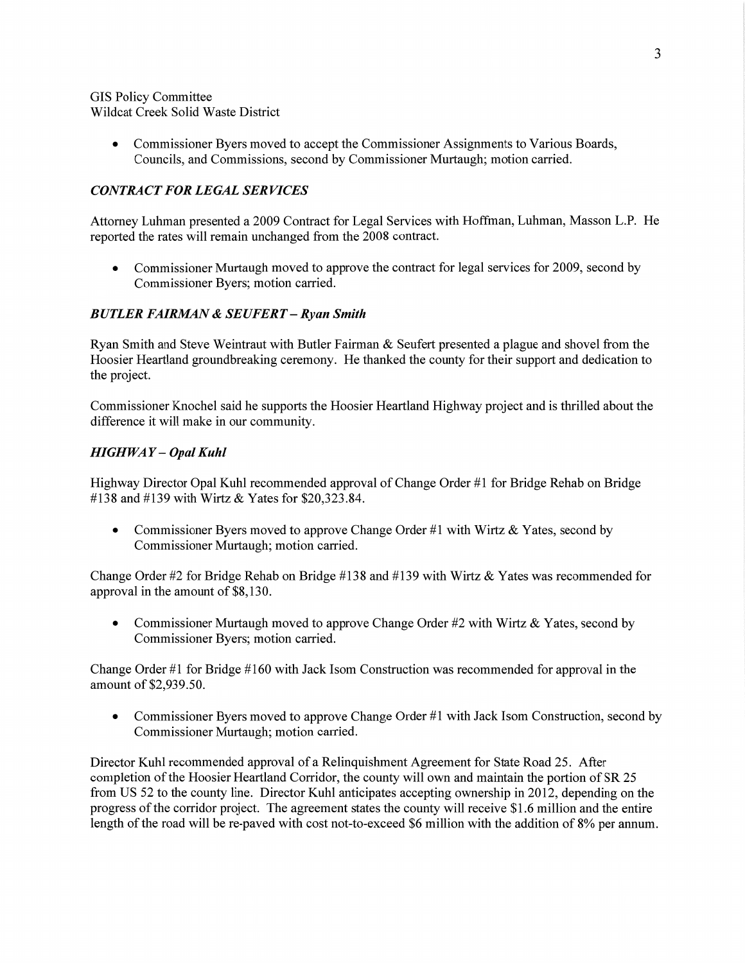GIS Policy Committee Wildcat Creek Solid Waste District

> • Commissioner Byers moved to accept the Commissioner Assignments to Various Boards, Councils, and Commissions, second by Commissioner Murtaugh; motion carried.

# $CONTRACT FOR LEGAL SERIES$

Attorney Luhman presented a 2009 Contract for Legal Services with **Hoffman, Luhman,** Masson L.P. He reported the rates will remain unchanged from the 2008 contract.

• Commissioner Murtaugh moved to approve the contract for legal services for 2009, second by Commissioner Byers; motion carried.

# *BUTLER FAIRMN &* SE *UFERT* — *Ryan Smith*

Ryan Smith and Steve Weintraut with Butler Fairman  $\&$  Seufert presented a plague and shovel from the Hoosier Heartland groundbreaking ceremony. He thanked the county for their support and dedication to the project.

Commissioner Knochel said he supports the Hoosier Heartland Highway project and is thrilled about the difference it will make in our community.

### *HIGHWAY* **—** *Opal Kuhl*

Highway Director Opal Kuhl recommended approval of Change Order #1 for Bridge Rehab on Bridge #138 and #139 with Wirtz & Yates for \$20,323.84.

• Commissioner Byers moved to approve Change Order #1 with Wirtz & Yates, second by Commissioner Murtaugh; motion carried.

Change Order #2 for Bridge Rehab on Bridge #138 and #139 with Wirtz & Yates was recommended for approval in the amount of \$8,130.

• Commissioner Murtaugh moved to approve Change Order #2 with Wirtz & Yates, second by Commissioner Byers; motion carried.

Change Order #1 for Bridge #160 with Jack Isom Construction was recommended for approval in the amount of \$2,939.50.

• Commissioner Byers moved to approve Change Order #1 with Jack Isom Construction, second by Commissioner Murtaugh; motion carried.

Director Kuhl recommended approval of **a** Relinquishment Agreement for State Road 25. After completion of the Hoosier Heartland Corridor, the county will own and maintain the portion of SR 25 from US 52 to the county line. Director Kuhl anticipates accepting ownership in 2012, depending on the progress of the corridor project. The agreement states the county will receive \$1.6 million and the entire length of the road will be re-paved with cost not-to-exceed \$6 million with the addition of 8% per annum.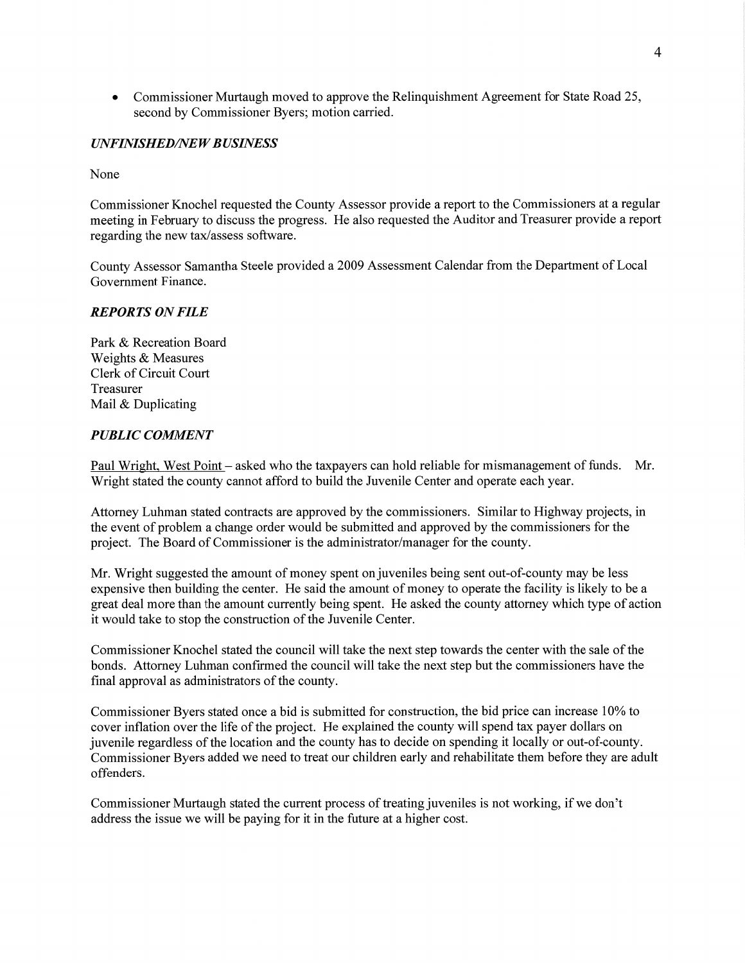• Commissioner Murtaugh moved to approve the Relinquishment Agreement for State Road 25, second by Commissioner Byers; motion carried.

## *UNFINISHEDflVE W B USINESS*

None

Commissioner Knochel requested the County Assessor provide a report to the Commissioners at a regular meeting in February to discuss the progress. He also requested the Auditor and Treasurer provide a repor<sup>t</sup> regarding the new tax/assess software.

County Assessor Samantha Steele provided a 2009 Assessment Calendar from the Department of Local Government Finance.

# *REPORTS* ON *FILE*

Park & Recreation Board Weights & Measures Clerk of Circuit Court Treasurer Mail & Duplicating

### *PUBLIC COMMENT*

Paul Wright, West Point — asked who the taxpayers can hold reliable for mismanagement of funds. Mr. Wright stated the county cannot afford to build the Juvenile Center and operate each year.

Attorney **Luhman** stated contracts are approved by the commissioners. Similar to Highway projects, in the event of problem a change order would be submitted and approved by the commissioners for the project. The Board of Commissioner is the administrator/manager for the county.

Mr. Wright suggested the amount of money spent on juveniles being sent out-of-county may be less expensive then building the center. He said the amount of money to operate the facility is likely to be **a**  great deal more than the amount currently being spent. He asked the county attorney which type of action it would take to stop the construction of the Juvenile Center.

Commissioner Knochel stated the council Will take the next step towards the center with the sale of the bonds. Attorney Luhman confirmed the council will take the next step but the commissioners have the final approval as administrators of the county.

Commissioner Byers stated once a bid is submitted for construction, the bid price can increase 10% to cover inflation over the life of the project. He explained the county Will spend tax payer dollars on juvenile regardless of the location and the county has to decide on spending it locally or out-of-county. Commissioner Byers added we need to treat our children early and rehabilitate them before they are adult offenders.

Commissioner Murtaugh stated the current process of treating juveniles is not working, if we don't address the issue we will be paying for it in the future at a higher cost;